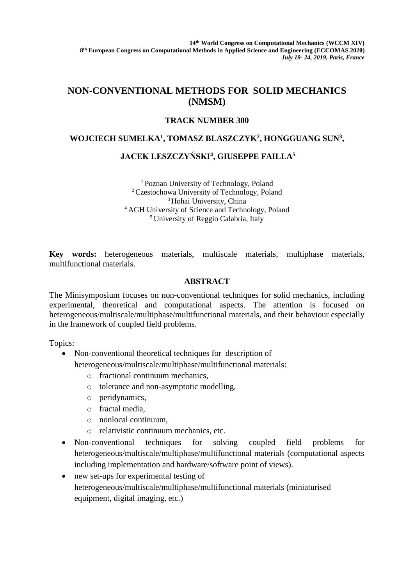# **NON-CONVENTIONAL METHODS FOR SOLID MECHANICS (NMSM)**

## **TRACK NUMBER 300**

## **WOJCIECH SUMELKA<sup>1</sup> , TOMASZ BLASZCZYK<sup>2</sup> , HONGGUANG SUN<sup>3</sup> ,**

## **JACEK LESZCZYŃSKI<sup>4</sup> , GIUSEPPE FAILLA<sup>5</sup>**

<sup>1</sup>Poznan University of Technology, Poland <sup>2</sup>Czestochowa University of Technology, Poland <sup>3</sup> Hohai University, China <sup>4</sup>AGH University of Science and Technology, Poland <sup>5</sup> University of Reggio Calabria, Italy

**Key words:** heterogeneous materials, multiscale materials, multiphase materials, multifunctional materials.

## **ABSTRACT**

The Minisymposium focuses on non-conventional techniques for solid mechanics, including experimental, theoretical and computational aspects. The attention is focused on heterogeneous/multiscale/multiphase/multifunctional materials, and their behaviour especially in the framework of coupled field problems.

Topics:

- Non-conventional theoretical techniques for description of
	- heterogeneous/multiscale/multiphase/multifunctional materials:
		- o fractional continuum mechanics,
		- o tolerance and non-asymptotic modelling,
		- o peridynamics,
		- o fractal media,
		- o nonlocal continuum,
		- o relativistic continuum mechanics, etc.
- Non-conventional techniques for solving coupled field problems for heterogeneous/multiscale/multiphase/multifunctional materials (computational aspects including implementation and hardware/software point of views).
- new set-ups for experimental testing of heterogeneous/multiscale/multiphase/multifunctional materials (miniaturised equipment, digital imaging, etc.)